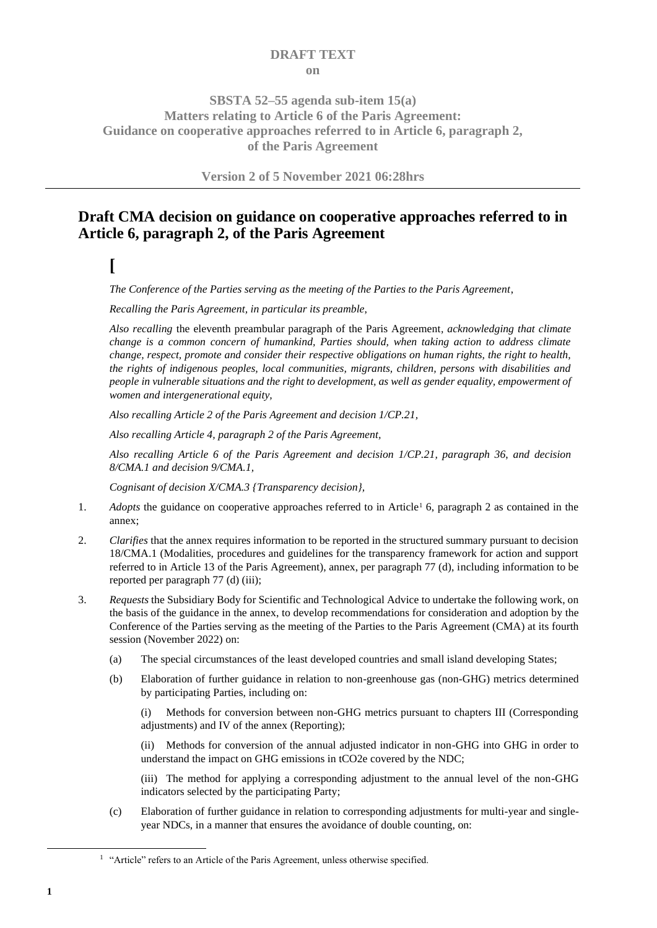### **DRAFT TEXT on**

## **SBSTA 52–55 agenda sub-item 15(a) Matters relating to Article 6 of the Paris Agreement: Guidance on cooperative approaches referred to in Article 6, paragraph 2, of the Paris Agreement**

**Version 2 of 5 November 2021 06:28hrs**

# **Draft CMA decision on guidance on cooperative approaches referred to in Article 6, paragraph 2, of the Paris Agreement**

**[**

*The Conference of the Parties serving as the meeting of the Parties to the Paris Agreement*,

*Recalling the Paris Agreement, in particular its preamble*,

*Also recalling* the eleventh preambular paragraph of the Paris Agreement*, acknowledging that climate change is a common concern of humankind, Parties should, when taking action to address climate change, respect, promote and consider their respective obligations on human rights, the right to health, the rights of indigenous peoples, local communities, migrants, children, persons with disabilities and people in vulnerable situations and the right to development, as well as gender equality, empowerment of women and intergenerational equity,*

*Also recalling Article 2 of the Paris Agreement and decision 1/CP.21,* 

*Also recalling Article 4, paragraph 2 of the Paris Agreement,*

*Also recalling Article 6 of the Paris Agreement and decision 1/CP.21, paragraph 36*, *and decision 8/CMA.1 and decision 9/CMA.1,*

*Cognisant of decision X/CMA.3 {Transparency decision},*

- 1. *Adopts* the guidance on cooperative approaches referred to in Article<sup>1</sup> 6, paragraph 2 as contained in the annex;
- 2. *Clarifies* that the annex requires information to be reported in the structured summary pursuant to decision 18/CMA.1 (Modalities, procedures and guidelines for the transparency framework for action and support referred to in Article 13 of the Paris Agreement), annex, per paragraph 77 (d), including information to be reported per paragraph 77 (d) (iii);
- 3. *Requests* the Subsidiary Body for Scientific and Technological Advice to undertake the following work, on the basis of the guidance in the annex, to develop recommendations for consideration and adoption by the Conference of the Parties serving as the meeting of the Parties to the Paris Agreement (CMA) at its fourth session (November 2022) on:
	- (a) The special circumstances of the least developed countries and small island developing States;
	- (b) Elaboration of further guidance in relation to non-greenhouse gas (non-GHG) metrics determined by participating Parties, including on:

(i) Methods for conversion between non-GHG metrics pursuant to chapters III (Corresponding adjustments) and IV of the annex (Reporting);

(ii) Methods for conversion of the annual adjusted indicator in non-GHG into GHG in order to understand the impact on GHG emissions in tCO2e covered by the NDC;

(iii) The method for applying a corresponding adjustment to the annual level of the non-GHG indicators selected by the participating Party;

(c) Elaboration of further guidance in relation to corresponding adjustments for multi-year and singleyear NDCs, in a manner that ensures the avoidance of double counting, on:

<sup>&</sup>lt;sup>1</sup> "Article" refers to an Article of the Paris Agreement, unless otherwise specified.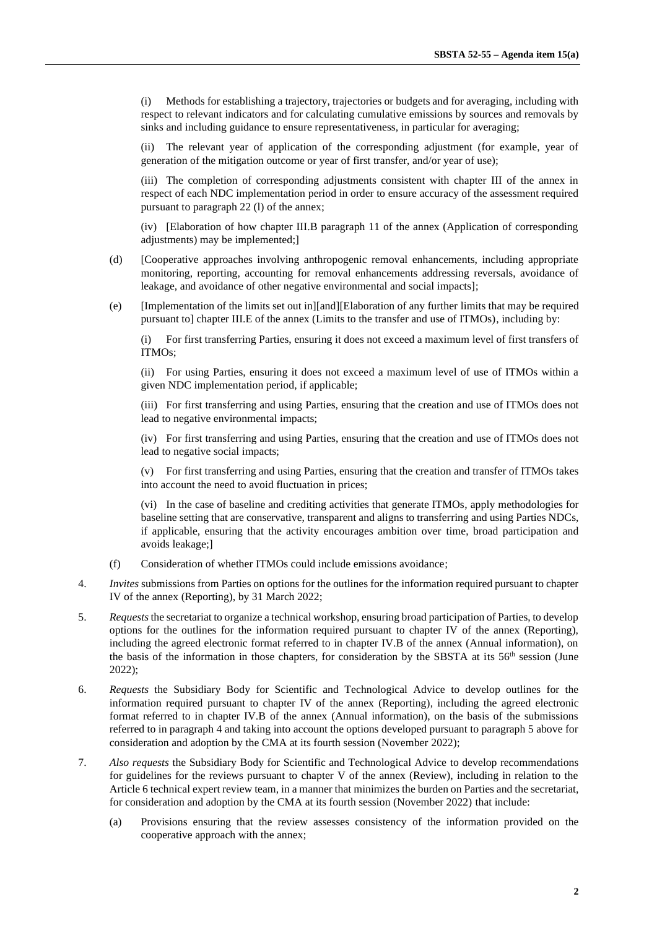(i) Methods for establishing a trajectory, trajectories or budgets and for averaging, including with respect to relevant indicators and for calculating cumulative emissions by sources and removals by sinks and including guidance to ensure representativeness, in particular for averaging;

(ii) The relevant year of application of the corresponding adjustment (for example, year of generation of the mitigation outcome or year of first transfer, and/or year of use);

(iii) The completion of corresponding adjustments consistent with chapter III of the annex in respect of each NDC implementation period in order to ensure accuracy of the assessment required pursuant to paragraph 22 (l) of the annex;

(iv) [Elaboration of how chapter III.B paragraph 11 of the annex (Application of corresponding adjustments) may be implemented;]

- (d) [Cooperative approaches involving anthropogenic removal enhancements, including appropriate monitoring, reporting, accounting for removal enhancements addressing reversals, avoidance of leakage, and avoidance of other negative environmental and social impacts];
- (e) [Implementation of the limits set out in][and][Elaboration of any further limits that may be required pursuant to] chapter III.E of the annex (Limits to the transfer and use of ITMOs), including by:

(i) For first transferring Parties, ensuring it does not exceed a maximum level of first transfers of ITMOs;

(ii) For using Parties, ensuring it does not exceed a maximum level of use of ITMOs within a given NDC implementation period, if applicable;

(iii) For first transferring and using Parties, ensuring that the creation and use of ITMOs does not lead to negative environmental impacts;

(iv) For first transferring and using Parties, ensuring that the creation and use of ITMOs does not lead to negative social impacts;

(v) For first transferring and using Parties, ensuring that the creation and transfer of ITMOs takes into account the need to avoid fluctuation in prices;

(vi) In the case of baseline and crediting activities that generate ITMOs, apply methodologies for baseline setting that are conservative, transparent and aligns to transferring and using Parties NDCs, if applicable, ensuring that the activity encourages ambition over time, broad participation and avoids leakage;]

- (f) Consideration of whether ITMOs could include emissions avoidance;
- 4. *Invites* submissions from Parties on options for the outlines for the information required pursuant to chapter IV of the annex (Reporting), by 31 March 2022;
- 5. *Requests* the secretariat to organize a technical workshop, ensuring broad participation of Parties, to develop options for the outlines for the information required pursuant to chapter IV of the annex (Reporting), including the agreed electronic format referred to in chapter IV.B of the annex (Annual information), on the basis of the information in those chapters, for consideration by the SBSTA at its 56<sup>th</sup> session (June 2022);
- 6. *Requests* the Subsidiary Body for Scientific and Technological Advice to develop outlines for the information required pursuant to chapter [IV](#page-6-0) of the annex (Reporting), including the agreed electronic format referred to in chapter IV.B of the annex (Annual information), on the basis of the submissions referred to in paragraph 4 and taking into account the options developed pursuant to paragraph 5 above for consideration and adoption by the CMA at its fourth session (November 2022);
- 7. *Also requests* the Subsidiary Body for Scientific and Technological Advice to develop recommendations for guidelines for the reviews pursuant to chapter V of the annex (Review), including in relation to the Article 6 technical expert review team, in a manner that minimizes the burden on Parties and the secretariat, for consideration and adoption by the CMA at its fourth session (November 2022) that include:
	- (a) Provisions ensuring that the review assesses consistency of the information provided on the cooperative approach with the annex;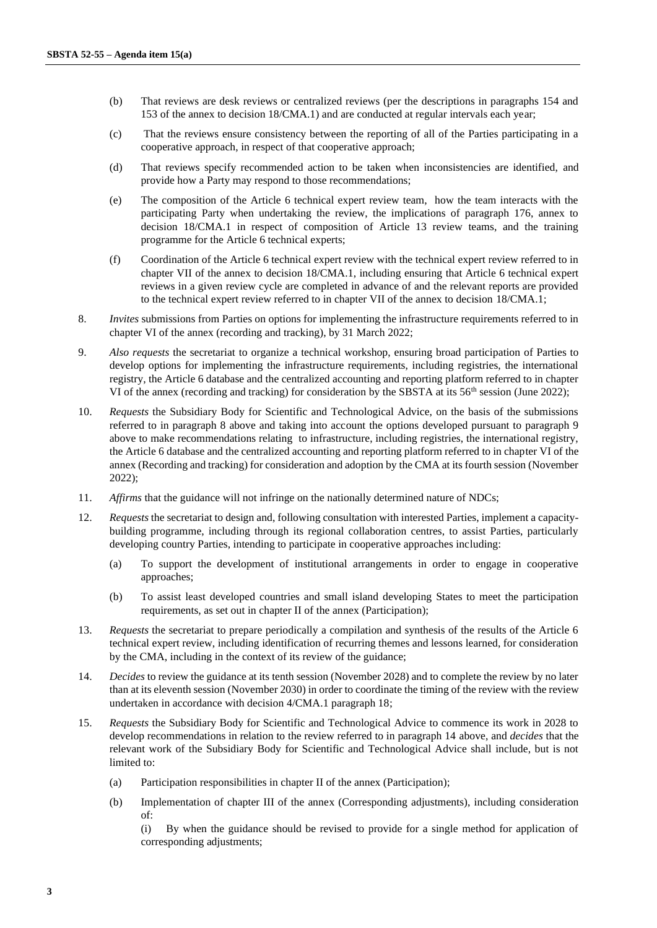- (b) That reviews are desk reviews or centralized reviews (per the descriptions in paragraphs 154 and 153 of the annex to decision 18/CMA.1) and are conducted at regular intervals each year;
- (c) That the reviews ensure consistency between the reporting of all of the Parties participating in a cooperative approach, in respect of that cooperative approach;
- (d) That reviews specify recommended action to be taken when inconsistencies are identified, and provide how a Party may respond to those recommendations;
- (e) The composition of the Article 6 technical expert review team, how the team interacts with the participating Party when undertaking the review, the implications of paragraph 176, annex to decision 18/CMA.1 in respect of composition of Article 13 review teams, and the training programme for the Article 6 technical experts;
- (f) Coordination of the Article 6 technical expert review with the technical expert review referred to in chapter VII of the annex to decision 18/CMA.1, including ensuring that Article 6 technical expert reviews in a given review cycle are completed in advance of and the relevant reports are provided to the technical expert review referred to in chapter VII of the annex to decision 18/CMA.1;
- 8. *Invites* submissions from Parties on options for implementing the infrastructure requirements referred to in chapter VI of the annex (recording and tracking), by 31 March 2022;
- 9. *Also requests* the secretariat to organize a technical workshop, ensuring broad participation of Parties to develop options for implementing the infrastructure requirements, including registries, the international registry, the Article 6 database and the centralized accounting and reporting platform referred to in chapter VI of the annex (recording and tracking) for consideration by the SBSTA at its  $56<sup>th</sup>$  session (June 2022);
- 10. *Requests* the Subsidiary Body for Scientific and Technological Advice, on the basis of the submissions referred to in paragraph 8 above and taking into account the options developed pursuant to paragraph 9 above to make recommendations relating to infrastructure, including registries, the international registry, the Article 6 database and the centralized accounting and reporting platform referred to in chapter VI of the annex (Recording and tracking) for consideration and adoption by the CMA at its fourth session (November 2022);
- 11. *Affirms* that the guidance will not infringe on the nationally determined nature of NDCs;
- 12. *Requests* the secretariat to design and, following consultation with interested Parties, implement a capacitybuilding programme, including through its regional collaboration centres, to assist Parties, particularly developing country Parties, intending to participate in cooperative approaches including:
	- (a) To support the development of institutional arrangements in order to engage in cooperative approaches;
	- (b) To assist least developed countries and small island developing States to meet the participation requirements, as set out in chapter II of the annex (Participation);
- 13. *Requests* the secretariat to prepare periodically a compilation and synthesis of the results of the Article 6 technical expert review, including identification of recurring themes and lessons learned, for consideration by the CMA, including in the context of its review of the guidance;
- 14. *Decides* to review the guidance at its tenth session (November 2028) and to complete the review by no later than at its eleventh session (November 2030) in order to coordinate the timing of the review with the review undertaken in accordance with decision 4/CMA.1 paragraph 18;
- 15. *Requests* the Subsidiary Body for Scientific and Technological Advice to commence its work in 2028 to develop recommendations in relation to the review referred to in paragraph 14 above, and *decides* that the relevant work of the Subsidiary Body for Scientific and Technological Advice shall include, but is not limited to:
	- (a) Participation responsibilities in chapter II of the annex (Participation);
	- (b) Implementation of chapter III of the annex (Corresponding adjustments), including consideration of:

(i) By when the guidance should be revised to provide for a single method for application of corresponding adjustments;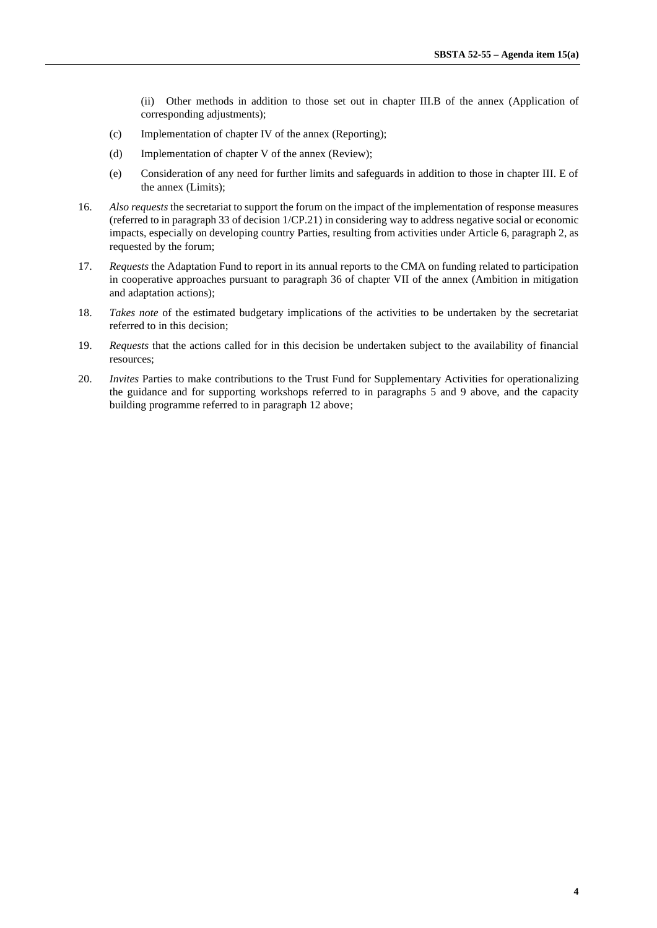- (ii) Other methods in addition to those set out in chapter III.B of the annex (Application of corresponding adjustments);
- (c) Implementation of chapter IV of the annex (Reporting);
- (d) Implementation of chapter V of the annex (Review);
- (e) Consideration of any need for further limits and safeguards in addition to those in chapter III. E of the annex (Limits);
- 16. *Also requests* the secretariat to support the forum on the impact of the implementation of response measures (referred to in paragraph 33 of decision 1/CP.21) in considering way to address negative social or economic impacts, especially on developing country Parties, resulting from activities under Article 6, paragraph 2, as requested by the forum;
- 17. *Requests* the Adaptation Fund to report in its annual reports to the CMA on funding related to participation in cooperative approaches pursuant to paragraph 36 of chapter VII of the annex (Ambition in mitigation and adaptation actions);
- 18. *Takes note* of the estimated budgetary implications of the activities to be undertaken by the secretariat referred to in this decision;
- 19. *Requests* that the actions called for in this decision be undertaken subject to the availability of financial resources;
- 20. *Invites* Parties to make contributions to the Trust Fund for Supplementary Activities for operationalizing the guidance and for supporting workshops referred to in paragraphs 5 and 9 above, and the capacity building programme referred to in paragraph 12 above;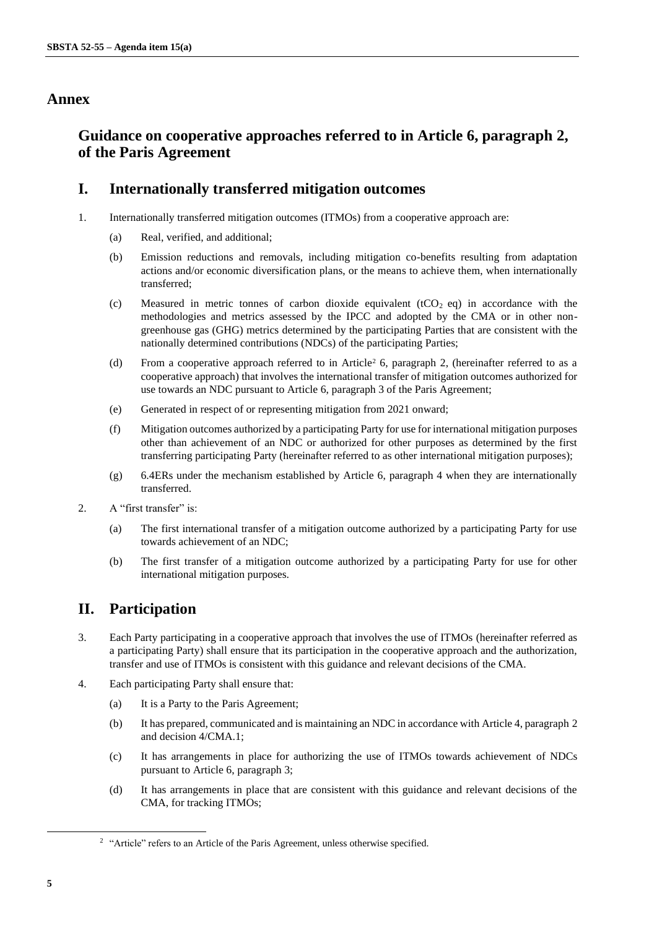## **Annex**

# **Guidance on cooperative approaches referred to in Article 6, paragraph 2, of the Paris Agreement**

## **I. Internationally transferred mitigation outcomes**

- 1. Internationally transferred mitigation outcomes (ITMOs) from a cooperative approach are:
	- (a) Real, verified, and additional;
	- (b) Emission reductions and removals, including mitigation co-benefits resulting from adaptation actions and/or economic diversification plans, or the means to achieve them, when internationally transferred;
	- (c) Measured in metric tonnes of carbon dioxide equivalent (tCO<sub>2</sub> eq) in accordance with the methodologies and metrics assessed by the IPCC and adopted by the CMA or in other nongreenhouse gas (GHG) metrics determined by the participating Parties that are consistent with the nationally determined contributions (NDCs) of the participating Parties;
	- (d) From a cooperative approach referred to in Article<sup>2</sup> 6, paragraph 2, (hereinafter referred to as a cooperative approach) that involves the international transfer of mitigation outcomes authorized for use towards an NDC pursuant to Article 6, paragraph 3 of the Paris Agreement;
	- (e) Generated in respect of or representing mitigation from 2021 onward;
	- (f) Mitigation outcomes authorized by a participating Party for use for international mitigation purposes other than achievement of an NDC or authorized for other purposes as determined by the first transferring participating Party (hereinafter referred to as other international mitigation purposes);
	- (g) 6.4ERs under the mechanism established by Article 6, paragraph 4 when they are internationally transferred.
- 2. A "first transfer" is:
	- (a) The first international transfer of a mitigation outcome authorized by a participating Party for use towards achievement of an NDC;
	- (b) The first transfer of a mitigation outcome authorized by a participating Party for use for other international mitigation purposes.

# **II. Participation**

- 3. Each Party participating in a cooperative approach that involves the use of ITMOs (hereinafter referred as a participating Party) shall ensure that its participation in the cooperative approach and the authorization, transfer and use of ITMOs is consistent with this guidance and relevant decisions of the CMA.
- 4. Each participating Party shall ensure that:
	- (a) It is a Party to the Paris Agreement;
	- (b) It has prepared, communicated and is maintaining an NDC in accordance with Article 4, paragraph 2 and decision 4/CMA.1;
	- (c) It has arrangements in place for authorizing the use of ITMOs towards achievement of NDCs pursuant to Article 6, paragraph 3;
	- (d) It has arrangements in place that are consistent with this guidance and relevant decisions of the CMA, for tracking ITMOs;

<sup>&</sup>lt;sup>2</sup> "Article" refers to an Article of the Paris Agreement, unless otherwise specified.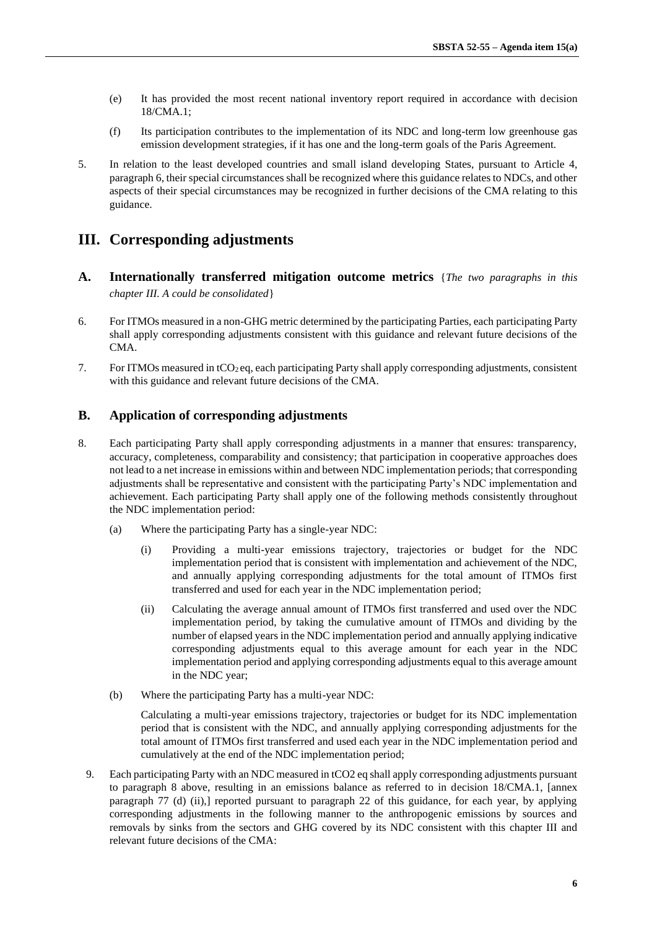- (e) It has provided the most recent national inventory report required in accordance with decision 18/CMA.1;
- (f) Its participation contributes to the implementation of its NDC and long-term low greenhouse gas emission development strategies, if it has one and the long-term goals of the Paris Agreement.
- 5. In relation to the least developed countries and small island developing States, pursuant to Article 4, paragraph 6, their special circumstances shall be recognized where this guidance relates to NDCs, and other aspects of their special circumstances may be recognized in further decisions of the CMA relating to this guidance.

# **III. Corresponding adjustments**

- **A. Internationally transferred mitigation outcome metrics** {*The two paragraphs in this chapter III. A could be consolidated*}
- 6. For ITMOs measured in a non-GHG metric determined by the participating Parties, each participating Party shall apply corresponding adjustments consistent with this guidance and relevant future decisions of the CMA.
- 7. For ITMOs measured in  $tCO<sub>2</sub>$ eq, each participating Party shall apply corresponding adjustments, consistent with this guidance and relevant future decisions of the CMA.

### **B. Application of corresponding adjustments**

- 8. Each participating Party shall apply corresponding adjustments in a manner that ensures: transparency, accuracy, completeness, comparability and consistency; that participation in cooperative approaches does not lead to a net increase in emissions within and between NDC implementation periods; that corresponding adjustments shall be representative and consistent with the participating Party's NDC implementation and achievement. Each participating Party shall apply one of the following methods consistently throughout the NDC implementation period:
	- (a) Where the participating Party has a single-year NDC:
		- (i) Providing a multi-year emissions trajectory, trajectories or budget for the NDC implementation period that is consistent with implementation and achievement of the NDC, and annually applying corresponding adjustments for the total amount of ITMOs first transferred and used for each year in the NDC implementation period;
		- (ii) Calculating the average annual amount of ITMOs first transferred and used over the NDC implementation period, by taking the cumulative amount of ITMOs and dividing by the number of elapsed years in the NDC implementation period and annually applying indicative corresponding adjustments equal to this average amount for each year in the NDC implementation period and applying corresponding adjustments equal to this average amount in the NDC year;
	- (b) Where the participating Party has a multi-year NDC:

Calculating a multi-year emissions trajectory, trajectories or budget for its NDC implementation period that is consistent with the NDC, and annually applying corresponding adjustments for the total amount of ITMOs first transferred and used each year in the NDC implementation period and cumulatively at the end of the NDC implementation period;

9. Each participating Party with an NDC measured in tCO2 eq shall apply corresponding adjustments pursuant to paragraph 8 above, resulting in an emissions balance as referred to in decision 18/CMA.1, [annex paragraph 77 (d) (ii),] reported pursuant to paragraph 22 of this guidance, for each year, by applying corresponding adjustments in the following manner to the anthropogenic emissions by sources and removals by sinks from the sectors and GHG covered by its NDC consistent with this chapter III and relevant future decisions of the CMA: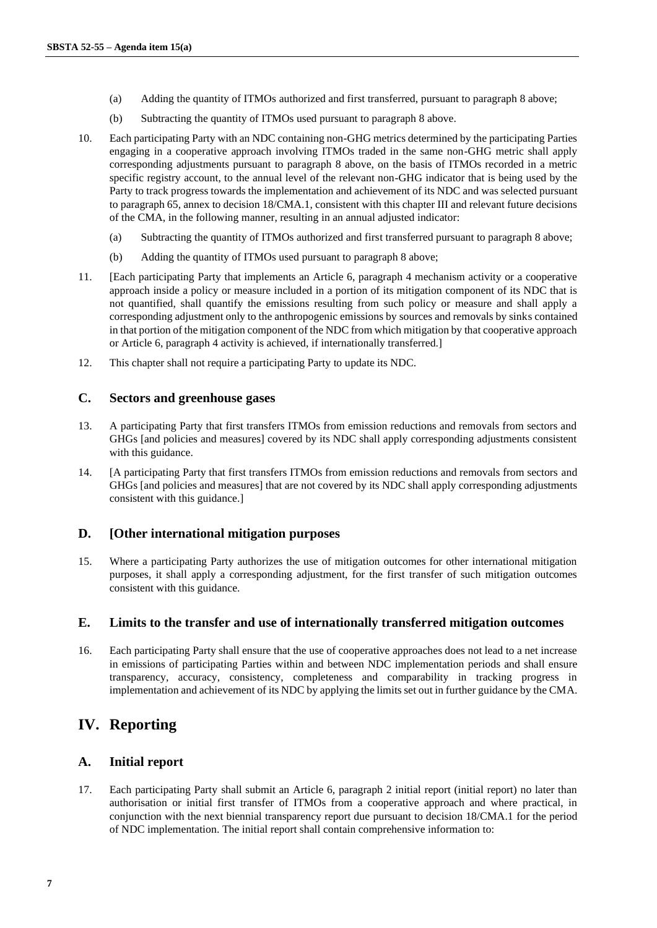- (a) Adding the quantity of ITMOs authorized and first transferred, pursuant to paragraph 8 above;
- (b) Subtracting the quantity of ITMOs used pursuant to paragraph 8 above.
- 10. Each participating Party with an NDC containing non-GHG metrics determined by the participating Parties engaging in a cooperative approach involving ITMOs traded in the same non-GHG metric shall apply corresponding adjustments pursuant to paragraph 8 above, on the basis of ITMOs recorded in a metric specific registry account, to the annual level of the relevant non-GHG indicator that is being used by the Party to track progress towards the implementation and achievement of its NDC and was selected pursuant to paragraph 65, annex to decision 18/CMA.1, consistent with this chapter III and relevant future decisions of the CMA, in the following manner, resulting in an annual adjusted indicator:
	- (a) Subtracting the quantity of ITMOs authorized and first transferred pursuant to paragraph 8 above;
	- (b) Adding the quantity of ITMOs used pursuant to paragraph 8 above;
- 11. [Each participating Party that implements an Article 6, paragraph 4 mechanism activity or a cooperative approach inside a policy or measure included in a portion of its mitigation component of its NDC that is not quantified, shall quantify the emissions resulting from such policy or measure and shall apply a corresponding adjustment only to the anthropogenic emissions by sources and removals by sinks contained in that portion of the mitigation component of the NDC from which mitigation by that cooperative approach or Article 6, paragraph 4 activity is achieved, if internationally transferred.]
- 12. This chapter shall not require a participating Party to update its NDC.

### **C. Sectors and greenhouse gases**

- 13. A participating Party that first transfers ITMOs from emission reductions and removals from sectors and GHGs [and policies and measures] covered by its NDC shall apply corresponding adjustments consistent with this guidance.
- 14. [A participating Party that first transfers ITMOs from emission reductions and removals from sectors and GHGs [and policies and measures] that are not covered by its NDC shall apply corresponding adjustments consistent with this guidance.]

#### **D. [Other international mitigation purposes**

15. Where a participating Party authorizes the use of mitigation outcomes for other international mitigation purposes, it shall apply a corresponding adjustment, for the first transfer of such mitigation outcomes consistent with this guidance.

### **E. Limits to the transfer and use of internationally transferred mitigation outcomes**

16. Each participating Party shall ensure that the use of cooperative approaches does not lead to a net increase in emissions of participating Parties within and between NDC implementation periods and shall ensure transparency, accuracy, consistency, completeness and comparability in tracking progress in implementation and achievement of its NDC by applying the limits set out in further guidance by the CMA.

## <span id="page-6-0"></span>**IV. Reporting**

### **A. Initial report**

17. Each participating Party shall submit an Article 6, paragraph 2 initial report (initial report) no later than authorisation or initial first transfer of ITMOs from a cooperative approach and where practical, in conjunction with the next biennial transparency report due pursuant to decision 18/CMA.1 for the period of NDC implementation. The initial report shall contain comprehensive information to: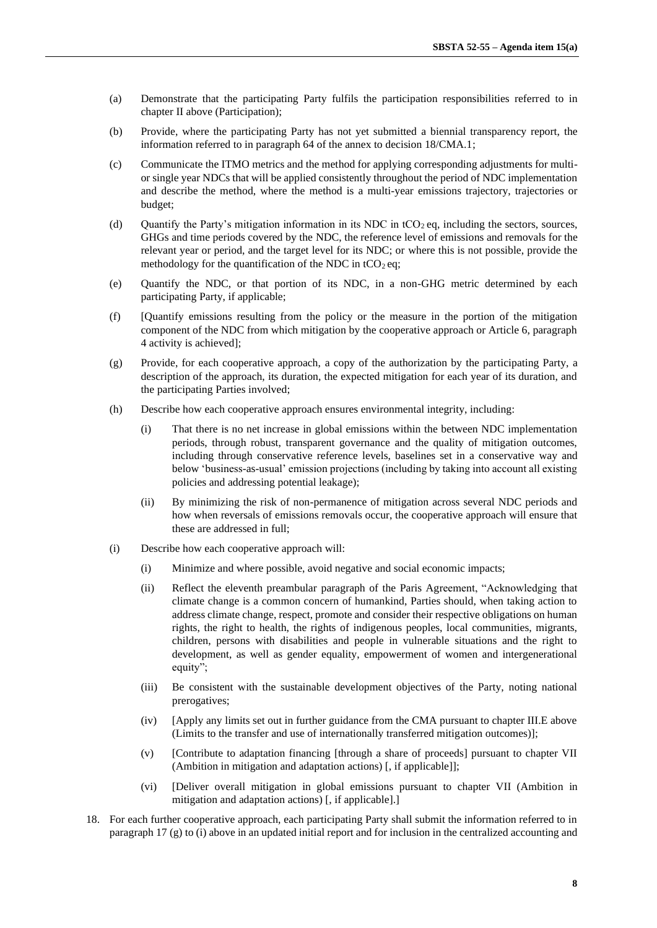- (a) Demonstrate that the participating Party fulfils the participation responsibilities referred to in chapter II above (Participation);
- (b) Provide, where the participating Party has not yet submitted a biennial transparency report, the information referred to in paragraph 64 of the annex to decision 18/CMA.1;
- (c) Communicate the ITMO metrics and the method for applying corresponding adjustments for multior single year NDCs that will be applied consistently throughout the period of NDC implementation and describe the method, where the method is a multi-year emissions trajectory, trajectories or budget;
- (d) Quantify the Party's mitigation information in its NDC in tCO<sub>2</sub> eq, including the sectors, sources, GHGs and time periods covered by the NDC, the reference level of emissions and removals for the relevant year or period, and the target level for its NDC; or where this is not possible, provide the methodology for the quantification of the NDC in  $tCO<sub>2</sub>$ eq;
- (e) Quantify the NDC, or that portion of its NDC, in a non-GHG metric determined by each participating Party, if applicable;
- (f) [Quantify emissions resulting from the policy or the measure in the portion of the mitigation component of the NDC from which mitigation by the cooperative approach or Article 6, paragraph 4 activity is achieved];
- (g) Provide, for each cooperative approach, a copy of the authorization by the participating Party, a description of the approach, its duration, the expected mitigation for each year of its duration, and the participating Parties involved;
- (h) Describe how each cooperative approach ensures environmental integrity, including:
	- (i) That there is no net increase in global emissions within the between NDC implementation periods, through robust, transparent governance and the quality of mitigation outcomes, including through conservative reference levels, baselines set in a conservative way and below 'business-as-usual' emission projections (including by taking into account all existing policies and addressing potential leakage);
	- (ii) By minimizing the risk of non-permanence of mitigation across several NDC periods and how when reversals of emissions removals occur, the cooperative approach will ensure that these are addressed in full;
- (i) Describe how each cooperative approach will:
	- (i) Minimize and where possible, avoid negative and social economic impacts;
	- (ii) Reflect the eleventh preambular paragraph of the Paris Agreement, "Acknowledging that climate change is a common concern of humankind, Parties should, when taking action to address climate change, respect, promote and consider their respective obligations on human rights, the right to health, the rights of indigenous peoples, local communities, migrants, children, persons with disabilities and people in vulnerable situations and the right to development, as well as gender equality, empowerment of women and intergenerational equity";
	- (iii) Be consistent with the sustainable development objectives of the Party, noting national prerogatives;
	- (iv) [Apply any limits set out in further guidance from the CMA pursuant to chapter III.E above (Limits to the transfer and use of internationally transferred mitigation outcomes)];
	- (v) [Contribute to adaptation financing [through a share of proceeds] pursuant to chapter VII (Ambition in mitigation and adaptation actions) [, if applicable]];
	- (vi) [Deliver overall mitigation in global emissions pursuant to chapter VII (Ambition in mitigation and adaptation actions) [, if applicable].]
- 18. For each further cooperative approach, each participating Party shall submit the information referred to in paragraph 17 (g) to (i) above in an updated initial report and for inclusion in the centralized accounting and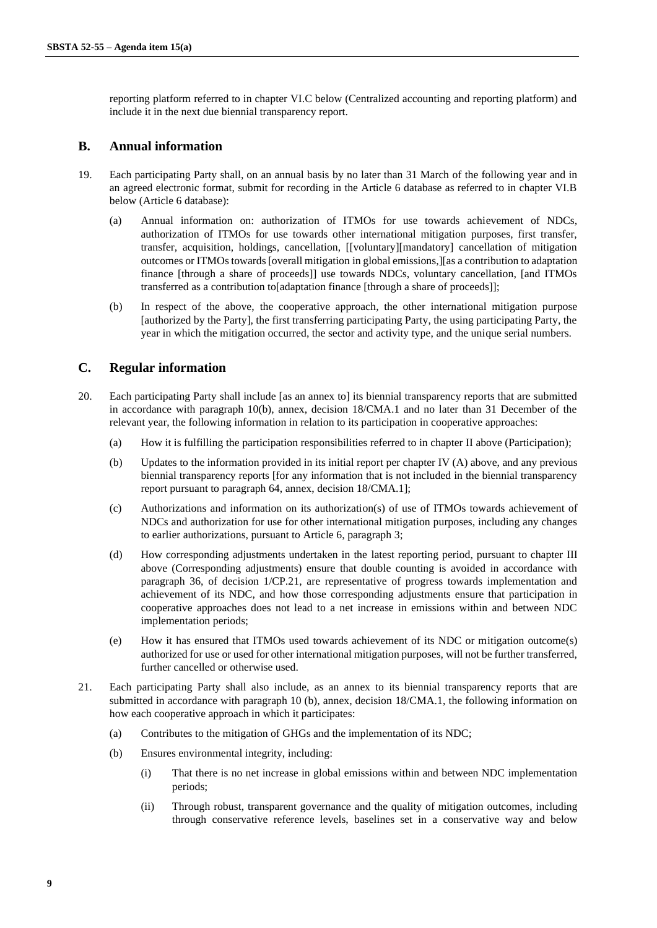reporting platform referred to in chapter VI.C below (Centralized accounting and reporting platform) and include it in the next due biennial transparency report.

### **B. Annual information**

- 19. Each participating Party shall, on an annual basis by no later than 31 March of the following year and in an agreed electronic format, submit for recording in the Article 6 database as referred to in chapter VI.B below (Article 6 database):
	- (a) Annual information on: authorization of ITMOs for use towards achievement of NDCs, authorization of ITMOs for use towards other international mitigation purposes, first transfer, transfer, acquisition, holdings, cancellation, [[voluntary][mandatory] cancellation of mitigation outcomes or ITMOs towards [overall mitigation in global emissions,][as a contribution to adaptation finance [through a share of proceeds]] use towards NDCs, voluntary cancellation, [and ITMOs transferred as a contribution to[adaptation finance [through a share of proceeds]];
	- (b) In respect of the above, the cooperative approach, the other international mitigation purpose [authorized by the Party], the first transferring participating Party, the using participating Party, the year in which the mitigation occurred, the sector and activity type, and the unique serial numbers.

### **C. Regular information**

- 20. Each participating Party shall include [as an annex to] its biennial transparency reports that are submitted in accordance with paragraph 10(b), annex, decision 18/CMA.1 and no later than 31 December of the relevant year, the following information in relation to its participation in cooperative approaches:
	- (a) How it is fulfilling the participation responsibilities referred to in chapter II above (Participation);
	- (b) Updates to the information provided in its initial report per chapter IV (A) above, and any previous biennial transparency reports [for any information that is not included in the biennial transparency report pursuant to paragraph 64, annex, decision 18/CMA.1];
	- (c) Authorizations and information on its authorization(s) of use of ITMOs towards achievement of NDCs and authorization for use for other international mitigation purposes, including any changes to earlier authorizations, pursuant to Article 6, paragraph 3;
	- (d) How corresponding adjustments undertaken in the latest reporting period, pursuant to chapter III above (Corresponding adjustments) ensure that double counting is avoided in accordance with paragraph 36, of decision 1/CP.21, are representative of progress towards implementation and achievement of its NDC, and how those corresponding adjustments ensure that participation in cooperative approaches does not lead to a net increase in emissions within and between NDC implementation periods;
	- (e) How it has ensured that ITMOs used towards achievement of its NDC or mitigation outcome(s) authorized for use or used for other international mitigation purposes, will not be further transferred, further cancelled or otherwise used.
- 21. Each participating Party shall also include, as an annex to its biennial transparency reports that are submitted in accordance with paragraph 10 (b), annex, decision 18/CMA.1, the following information on how each cooperative approach in which it participates:
	- (a) Contributes to the mitigation of GHGs and the implementation of its NDC;
	- (b) Ensures environmental integrity, including:
		- (i) That there is no net increase in global emissions within and between NDC implementation periods;
		- (ii) Through robust, transparent governance and the quality of mitigation outcomes, including through conservative reference levels, baselines set in a conservative way and below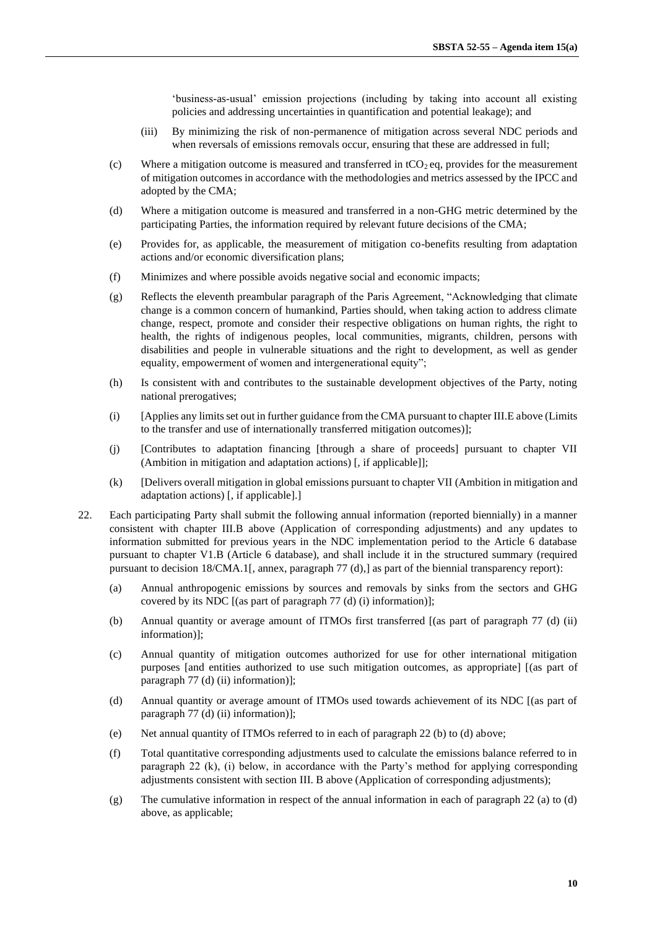'business-as-usual' emission projections (including by taking into account all existing policies and addressing uncertainties in quantification and potential leakage); and

- (iii) By minimizing the risk of non-permanence of mitigation across several NDC periods and when reversals of emissions removals occur, ensuring that these are addressed in full;
- (c) Where a mitigation outcome is measured and transferred in  $tCO<sub>2</sub>$  eq, provides for the measurement of mitigation outcomes in accordance with the methodologies and metrics assessed by the IPCC and adopted by the CMA;
- (d) Where a mitigation outcome is measured and transferred in a non-GHG metric determined by the participating Parties, the information required by relevant future decisions of the CMA;
- (e) Provides for, as applicable, the measurement of mitigation co-benefits resulting from adaptation actions and/or economic diversification plans;
- (f) Minimizes and where possible avoids negative social and economic impacts;
- (g) Reflects the eleventh preambular paragraph of the Paris Agreement, "Acknowledging that climate change is a common concern of humankind, Parties should, when taking action to address climate change, respect, promote and consider their respective obligations on human rights, the right to health, the rights of indigenous peoples, local communities, migrants, children, persons with disabilities and people in vulnerable situations and the right to development, as well as gender equality, empowerment of women and intergenerational equity";
- (h) Is consistent with and contributes to the sustainable development objectives of the Party, noting national prerogatives;
- (i) [Applies any limits set out in further guidance from the CMA pursuant to chapter III.E above (Limits to the transfer and use of internationally transferred mitigation outcomes)];
- (j) [Contributes to adaptation financing [through a share of proceeds] pursuant to chapter VII (Ambition in mitigation and adaptation actions) [, if applicable]];
- (k) [Delivers overall mitigation in global emissions pursuant to chapter VII (Ambition in mitigation and adaptation actions) [, if applicable].]
- 22. Each participating Party shall submit the following annual information (reported biennially) in a manner consistent with chapter III.B above (Application of corresponding adjustments) and any updates to information submitted for previous years in the NDC implementation period to the Article 6 database pursuant to chapter V1.B (Article 6 database), and shall include it in the structured summary (required pursuant to decision 18/CMA.1[, annex, paragraph 77 (d),] as part of the biennial transparency report):
	- (a) Annual anthropogenic emissions by sources and removals by sinks from the sectors and GHG covered by its NDC [(as part of paragraph 77 (d) (i) information)];
	- (b) Annual quantity or average amount of ITMOs first transferred [(as part of paragraph 77 (d) (ii) information)];
	- (c) Annual quantity of mitigation outcomes authorized for use for other international mitigation purposes [and entities authorized to use such mitigation outcomes, as appropriate] [(as part of paragraph 77 (d) (ii) information)];
	- (d) Annual quantity or average amount of ITMOs used towards achievement of its NDC [(as part of paragraph 77 (d) (ii) information)];
	- (e) Net annual quantity of ITMOs referred to in each of paragraph 22 (b) to (d) above;
	- (f) Total quantitative corresponding adjustments used to calculate the emissions balance referred to in paragraph 22 (k), (i) below, in accordance with the Party's method for applying corresponding adjustments consistent with section III. B above (Application of corresponding adjustments);
	- (g) The cumulative information in respect of the annual information in each of paragraph 22 (a) to (d) above, as applicable;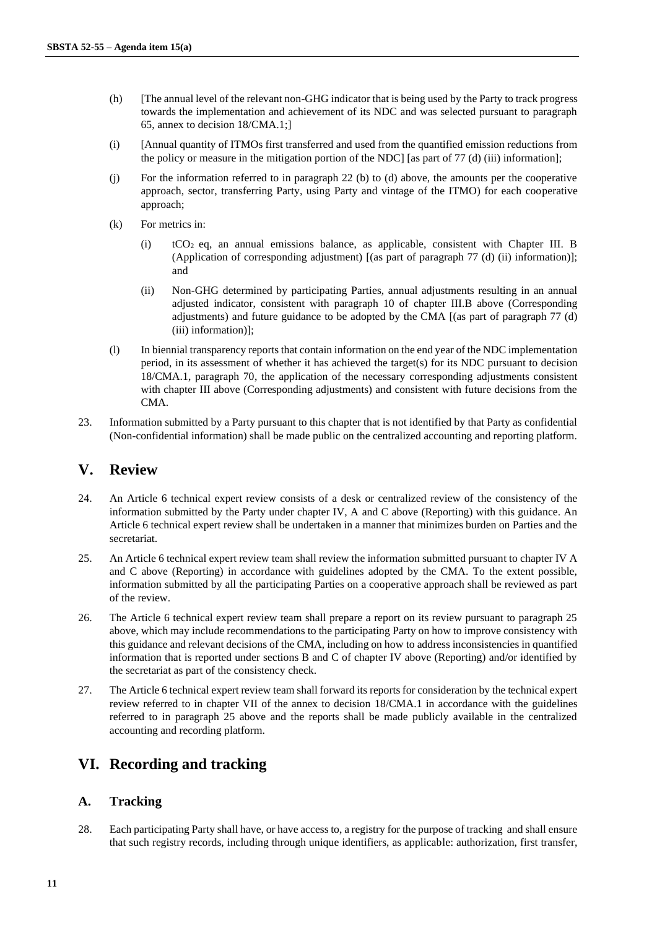- (h) [The annual level of the relevant non-GHG indicator that is being used by the Party to track progress towards the implementation and achievement of its NDC and was selected pursuant to paragraph 65, annex to decision 18/CMA.1;]
- (i) [Annual quantity of ITMOs first transferred and used from the quantified emission reductions from the policy or measure in the mitigation portion of the NDC] [as part of 77 (d) (iii) information];
- (j) For the information referred to in paragraph 22 (b) to (d) above, the amounts per the cooperative approach, sector, transferring Party, using Party and vintage of the ITMO) for each cooperative approach;
- (k) For metrics in:
	- (i) tCO2 eq, an annual emissions balance, as applicable, consistent with Chapter III. B (Application of corresponding adjustment) [(as part of paragraph 77 (d) (ii) information)]; and
	- (ii) Non-GHG determined by participating Parties, annual adjustments resulting in an annual adjusted indicator, consistent with paragraph 10 of chapter III.B above (Corresponding adjustments) and future guidance to be adopted by the CMA [(as part of paragraph 77 (d) (iii) information)];
- (l) In biennial transparency reports that contain information on the end year of the NDC implementation period, in its assessment of whether it has achieved the target(s) for its NDC pursuant to decision 18/CMA.1, paragraph 70, the application of the necessary corresponding adjustments consistent with chapter III above (Corresponding adjustments) and consistent with future decisions from the CMA.
- 23. Information submitted by a Party pursuant to this chapter that is not identified by that Party as confidential (Non-confidential information) shall be made public on the centralized accounting and reporting platform.

## **V. Review**

- 24. An Article 6 technical expert review consists of a desk or centralized review of the consistency of the information submitted by the Party under chapter IV, A and C above (Reporting) with this guidance. An Article 6 technical expert review shall be undertaken in a manner that minimizes burden on Parties and the secretariat.
- 25. An Article 6 technical expert review team shall review the information submitted pursuant to chapter IV A and C above (Reporting) in accordance with guidelines adopted by the CMA. To the extent possible, information submitted by all the participating Parties on a cooperative approach shall be reviewed as part of the review.
- 26. The Article 6 technical expert review team shall prepare a report on its review pursuant to paragraph 25 above, which may include recommendations to the participating Party on how to improve consistency with this guidance and relevant decisions of the CMA, including on how to address inconsistencies in quantified information that is reported under sections B and C of chapter IV above (Reporting) and/or identified by the secretariat as part of the consistency check.
- 27. The Article 6 technical expert review team shall forward its reports for consideration by the technical expert review referred to in chapter VII of the annex to decision 18/CMA.1 in accordance with the guidelines referred to in paragraph 25 above and the reports shall be made publicly available in the centralized accounting and recording platform.

# **VI. Recording and tracking**

### **A. Tracking**

28. Each participating Party shall have, or have access to, a registry for the purpose of tracking and shall ensure that such registry records, including through unique identifiers, as applicable: authorization, first transfer,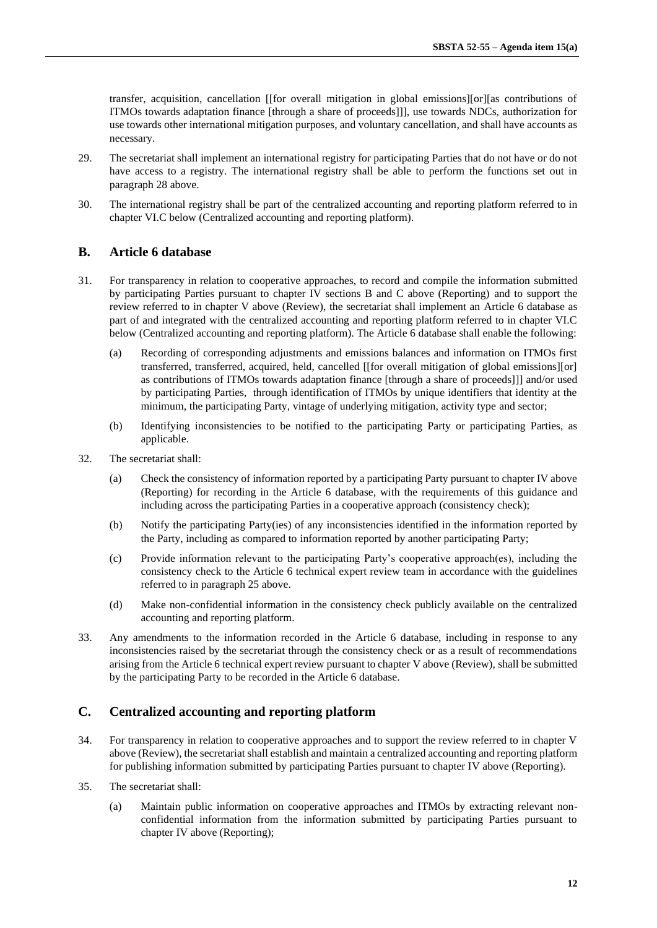transfer, acquisition, cancellation [[for overall mitigation in global emissions][or][as contributions of ITMOs towards adaptation finance [through a share of proceeds]]], use towards NDCs, authorization for use towards other international mitigation purposes, and voluntary cancellation, and shall have accounts as necessary.

- 29. The secretariat shall implement an international registry for participating Parties that do not have or do not have access to a registry. The international registry shall be able to perform the functions set out in paragraph 28 above.
- 30. The international registry shall be part of the centralized accounting and reporting platform referred to in chapter VI.C below (Centralized accounting and reporting platform).

### **B. Article 6 database**

- 31. For transparency in relation to cooperative approaches, to record and compile the information submitted by participating Parties pursuant to chapter IV sections B and C above (Reporting) and to support the review referred to in chapter V above (Review), the secretariat shall implement an Article 6 database as part of and integrated with the centralized accounting and reporting platform referred to in chapter VI.C below (Centralized accounting and reporting platform). The Article 6 database shall enable the following:
	- (a) Recording of corresponding adjustments and emissions balances and information on ITMOs first transferred, transferred, acquired, held, cancelled [[for overall mitigation of global emissions][or] as contributions of ITMOs towards adaptation finance [through a share of proceeds]]] and/or used by participating Parties, through identification of ITMOs by unique identifiers that identity at the minimum, the participating Party, vintage of underlying mitigation, activity type and sector;
	- (b) Identifying inconsistencies to be notified to the participating Party or participating Parties, as applicable.
- 32. The secretariat shall:
	- (a) Check the consistency of information reported by a participating Party pursuant to chapter IV above (Reporting) for recording in the Article 6 database, with the requirements of this guidance and including across the participating Parties in a cooperative approach (consistency check);
	- (b) Notify the participating Party(ies) of any inconsistencies identified in the information reported by the Party, including as compared to information reported by another participating Party;
	- (c) Provide information relevant to the participating Party's cooperative approach(es), including the consistency check to the Article 6 technical expert review team in accordance with the guidelines referred to in paragraph 25 above.
	- (d) Make non-confidential information in the consistency check publicly available on the centralized accounting and reporting platform.
- 33. Any amendments to the information recorded in the Article 6 database, including in response to any inconsistencies raised by the secretariat through the consistency check or as a result of recommendations arising from the Article 6 technical expert review pursuant to chapter V above (Review), shall be submitted by the participating Party to be recorded in the Article 6 database.

### **C. Centralized accounting and reporting platform**

- 34. For transparency in relation to cooperative approaches and to support the review referred to in chapter V above (Review), the secretariat shall establish and maintain a centralized accounting and reporting platform for publishing information submitted by participating Parties pursuant to chapter IV above (Reporting).
- 35. The secretariat shall:
	- (a) Maintain public information on cooperative approaches and ITMOs by extracting relevant nonconfidential information from the information submitted by participating Parties pursuant to chapter IV above (Reporting);